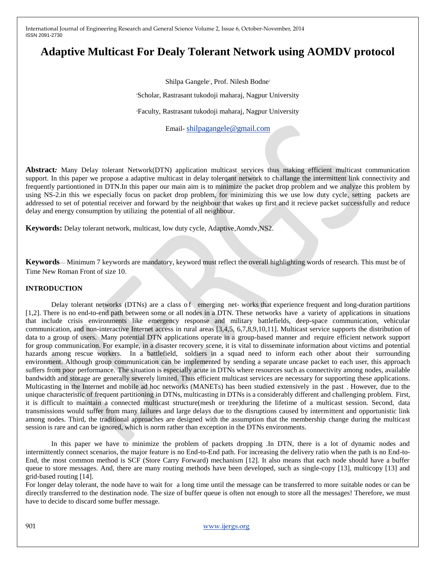# **Adaptive Multicast For Dealy Tolerant Network using AOMDV protocol**

Shilpa Gangele<sup>1</sup>, Prof. Nilesh Bodne<sup>2</sup>

<sup>1</sup>Scholar, Rastrasant tukodoji maharaj, Nagpur University

<sup>2</sup>Faculty, Rastrasant tukodoji maharaj, Nagpur University

Email- [shilpagangele@gmail.com](mailto:shilpagangele@gmail.com)

**Abstract***:* Many Delay tolerant Network(DTN) application multicast services thus making efficient multicast communication support. In this paper we propose a adaptive multicast in delay tolerqant network to challange the intermittent link connectivity and frequently partiontioned in DTN.In this paper our main aim is to minimize the packet drop problem and we analyze this problem by using NS-2.in this we especially focus on packet drop problem, for minimizing this we use low duty cycle, setting packets are addressed to set of potential receiver and forward by the neighbour that wakes up first and it recieve packet successfully and reduce delay and energy consumption by utilizing the potential of all neighbour.

**Keywords:** Delay tolerant network, multicast, low duty cycle, Adaptive,Aomdv,NS2.

**Keywords**— Minimum 7 keywords are mandatory, keyword must reflect the overall highlighting words of research. This must be of Time New Roman Front of size 10.

#### **INTRODUCTION**

Delay tolerant networks (DTNs) are a class of emerging net-works that experience frequent and long-duration partitions [1,2]. There is no end-to-end path between some or all nodes in a DTN. These networks have a variety of applications in situations that include crisis environments like emergency response and military battlefields, deep-space communication, vehicular communication, and non-interactive Internet access in rural areas [3,4,5, 6,7,8,9,10,11]. Multicast service supports the distribution of data to a group of users. Many potential DTN applications operate in a group-based manner and require efficient network support for group communication. For example, in a disaster recovery scene, it is vital to disseminate information about victims and potential hazards among rescue workers. In a battlefield, soldiers in a squad need to inform each other about their surrounding environment. Although group communication can be implemented by sending a separate uncase packet to each user, this approach suffers from poor performance. The situation is especially acute in DTNs where resources such as connectivity among nodes, available bandwidth and storage are generally severely limited. Thus efficient multicast services are necessary for supporting these applications. Multicasting in the Internet and mobile ad hoc networks (MANETs) has been studied extensively in the past . However, due to the unique characteristic of frequent partitioning in DTNs, multicasting in DTNs is a considerably different and challenging problem. First, it is difficult to maintain a connected multicast structure(mesh or tree)during the lifetime of a multicast session. Second, data transmissions would suffer from many failures and large delays due to the disruptions caused by intermittent and opportunistic link among nodes. Third, the traditional approaches are designed with the assumption that the membership change during the multicast session is rare and can be ignored, which is norm rather than exception in the DTNs environments.

In this paper we have to minimize the problem of packets dropping .In DTN, there is a lot of dynamic nodes and intermittently connect scenarios, the major feature is no End-to-End path. For increasing the delivery ratio when the path is no End-to-End, the most common method is SCF (Store Carry Forward) mechanism [12]. It also means that each node should have a buffer queue to store messages. And, there are many routing methods have been developed, such as single-copy [13], multicopy [13] and grid-based routing [14].

For longer delay tolerant, the node have to wait for a long time until the message can be transferred to more suitable nodes or can be directly transferred to the destination node. The size of buffer queue is often not enough to store all the messages! Therefore, we must have to decide to discard some buffer message.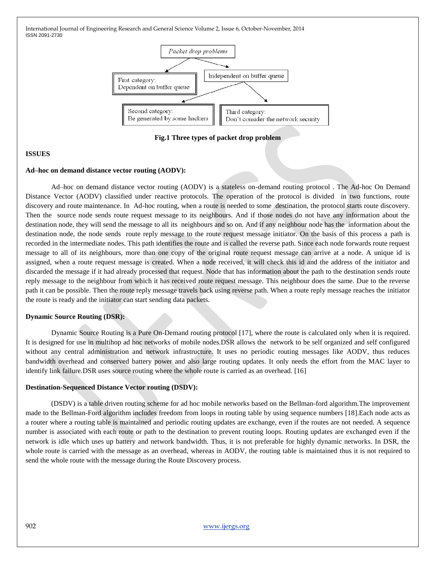

**Fig.1 Three types of packet drop problem**

## **ISSUES**

#### **Ad–hoc on demand distance vector routing (AODV):**

Ad–hoc on demand distance vector routing (AODV) is a stateless on-demand routing protocol . The Ad-hoc On Demand Distance Vector (AODV) classified under reactive protocols. The operation of the protocol is divided in two functions, route discovery and route maintenance. In Ad-hoc routing, when a route is needed to some destination, the protocol starts route discovery. Then the source node sends route request message to its neighbours. And if those nodes do not have any information about the destination node, they will send the message to all its neighbours and so on. And if any neighbour node has the information about the destination node, the node sends route reply message to the route request message initiator. On the basis of this process a path is recorded in the intermediate nodes. This path identifies the route and is called the reverse path. Since each node forwards route request message to all of its neighbours, more than one copy of the original route request message can arrive at a node. A unique id is assigned, when a route request message is created. When a node received, it will check this id and the address of the initiator and discarded the message if it had already processed that request. Node that has information about the path to the destination sends route reply message to the neighbour from which it has received route request message. This neighbour does the same. Due to the reverse path it can be possible. Then the route reply message travels back using reverse path. When a route reply message reaches the initiator the route is ready and the initiator can start sending data packets.

## **Dynamic Source Routing (DSR):**

Dynamic Source Routing is a Pure On-Demand routing protocol [17], where the route is calculated only when it is required. It is designed for use in multihop ad hoc networks of mobile nodes.DSR allows the network to be self organized and self configured without any central administration and network infrastructure. It uses no periodic routing messages like AODV, thus reduces bandwidth overhead and conserved battery power and also large routing updates. It only needs the effort from the MAC layer to identify link failure.DSR uses source routing where the whole route is carried as an overhead. [16]

## **Destination-Sequenced Distance Vector routing (DSDV):**

(DSDV) is a table driven routing scheme for ad hoc mobile networks based on the Bellman-ford algorithm.The improvement made to the Bellman-Ford algorithm includes freedom from loops in routing table by using sequence numbers [18].Each node acts as a router where a routing table is maintained and periodic routing updates are exchange, even if the routes are not needed. A sequence number is associated with each route or path to the destination to prevent routing loops. Routing updates are exchanged even if the network is idle which uses up battery and network bandwidth. Thus, it is not preferable for highly dynamic networks. In DSR, the whole route is carried with the message as an overhead, whereas in AODV, the routing table is maintained thus it is not required to send the whole route with the message during the Route Discovery process.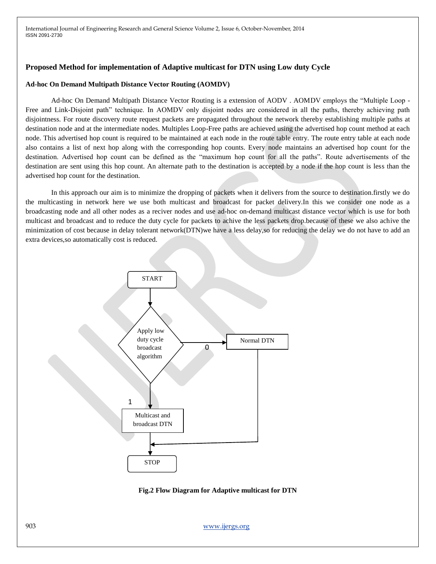# **Proposed Method for implementation of Adaptive multicast for DTN using Low duty Cycle**

#### **Ad-hoc On Demand Multipath Distance Vector Routing (AOMDV)**

Ad-hoc On Demand Multipath Distance Vector Routing is a extension of AODV. AOMDV employs the "Multiple Loop -Free and Link-Disjoint path" technique. In AOMDV only disjoint nodes are considered in all the paths, thereby achieving path disjointness. For route discovery route request packets are propagated throughout the network thereby establishing multiple paths at destination node and at the intermediate nodes. Multiples Loop-Free paths are achieved using the advertised hop count method at each node. This advertised hop count is required to be maintained at each node in the route table entry. The route entry table at each node also contains a list of next hop along with the corresponding hop counts. Every node maintains an advertised hop count for the destination. Advertised hop count can be defined as the "maximum hop count for all the paths". Route advertisements of the destination are sent using this hop count. An alternate path to the destination is accepted by a node if the hop count is less than the advertised hop count for the destination.

In this approach our aim is to minimize the dropping of packets when it delivers from the source to destination.firstly we do the multicasting in network here we use both multicast and broadcast for packet delivery.In this we consider one node as a broadcasting node and all other nodes as a reciver nodes and use ad-hoc on-demand multicast distance vector which is use for both multicast and broadcast and to reduce the duty cycle for packets to achive the less packets drop.because of these we also achive the minimization of cost because in delay tolerant network(DTN)we have a less delay,so for reducing the delay we do not have to add an extra devices,so automatically cost is reduced.



**Fig.2 Flow Diagram for Adaptive multicast for DTN**

903 www.ijergs.org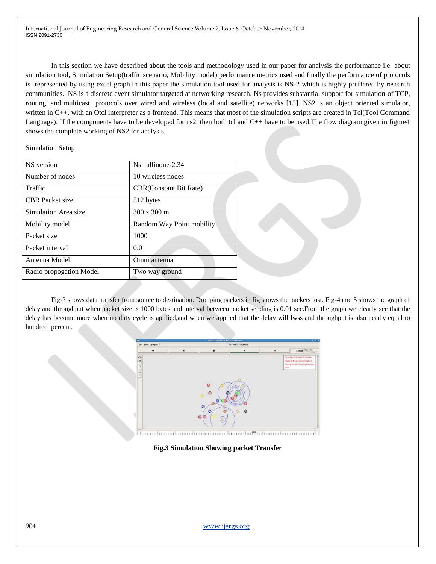In this section we have described about the tools and methodology used in our paper for analysis the performance i.e about simulation tool, Simulation Setup(traffic scenario, Mobility model) performance metrics used and finally the performance of protocols is represented by using excel graph.In this paper the simulation tool used for analysis is NS-2 which is highly preffered by research communities. NS is a discrete event simulator targeted at networking research. Ns provides substantial support for simulation of TCP, routing, and multicast protocols over wired and wireless (local and satellite) networks [15]. NS2 is an object oriented simulator, written in C++, with an Otcl interpreter as a frontend. This means that most of the simulation scripts are created in Tcl(Tool Command Language). If the components have to be developed for ns2, then both tcl and C++ have to be used. The flow diagram given in figure4 shows the complete working of NS2 for analysis

Simulation Setup

| NS version              | $Ns$ -allinone-2.34            |
|-------------------------|--------------------------------|
| Number of nodes         | 10 wireless nodes              |
| Traffic                 | <b>CBR</b> (Constant Bit Rate) |
| <b>CBR</b> Packet size  | 512 bytes                      |
| Simulation Area size    | $300 \times 300$ m             |
| Mobility model          | Random Way Point mobility      |
| Packet size             | 1000                           |
| Packet interval         | 0.01                           |
| Antenna Model           | Omni antenna                   |
| Radio propogation Model | Two way ground                 |

Fig-3 shows data transfer from source to destination. Dropping packets in fig shows the packets lost. Fig-4a nd 5 shows the graph of delay and throughput when packet size is 1000 bytes and interval between packet sending is 0.01 sec.From the graph we clearly see that the delay has become more when no duty cycle is applied,and when we applied that the delay will lwss and throughput is also nearly equal to hundred percent.



**Fig.3 Simulation Showing packet Transfer**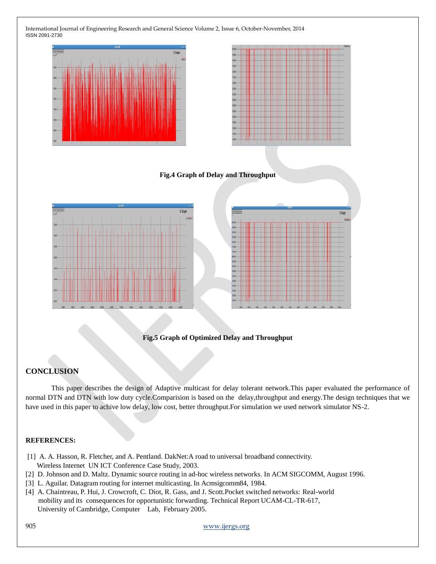

## **Fig.5 Graph of Optimized Delay and Throughput**

# **CONCLUSION**

This paper describes the design of Adaptive multicast for delay tolerant network.This paper evaluated the performance of normal DTN and DTN with low duty cycle.Comparision is based on the delay,throughput and energy.The design techniques that we have used in this paper to achive low delay, low cost, better throughput.For simulation we used network simulator NS-2.

#### **REFERENCES:**

- [1] A. A. Hasson, R. Fletcher, and A. Pentland. DakNet:A road to universal broadband connectivity. Wireless Internet UN ICT Conference Case Study, 2003.
- [2] D. Johnson and D. Maltz. Dynamic source routing in ad-hoc wireless networks. In ACM SIGCOMM, August 1996.
- [3] L. Aguilar. Datagram routing for internet multicasting. In Acmsigcomm84*,* 1984.
- [4] A. Chaintreau, P. Hui, J. Crowcroft, C. Diot, R. Gass, and J. Scott.Pocket switched networks: Real-world mobility and its consequences for opportunistic forwarding. Technical Report UCAM-CL-TR-617, University of Cambridge, Computer Lab, February 2005.

905 www.ijergs.org